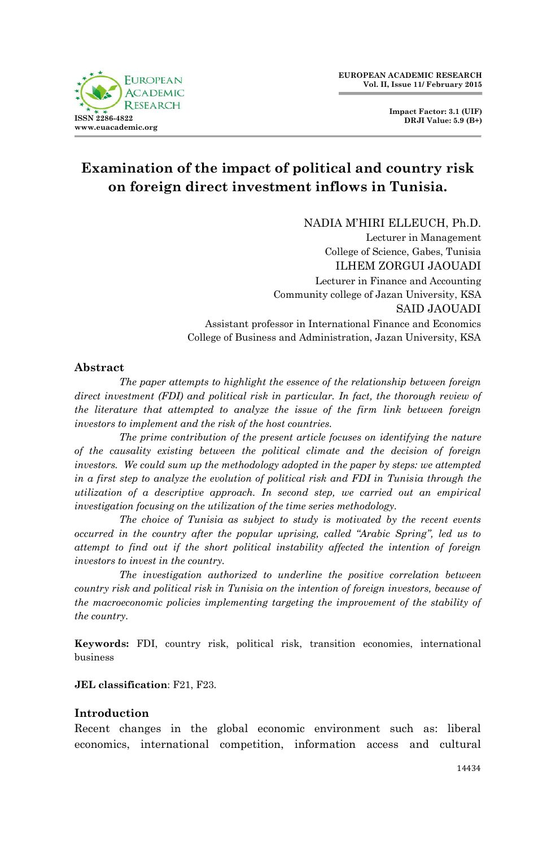

**Impact Factor: 3.1 (UIF) DRJI Value: 5.9 (B+)**

# **Examination of the impact of political and country risk on foreign direct investment inflows in Tunisia.**

NADIA M'HIRI ELLEUCH, Ph.D.

Lecturer in Management College of Science, Gabes, Tunisia ILHEM ZORGUI JAOUADI Lecturer in Finance and Accounting Community college of Jazan University, KSA SAID JAOUADI Assistant professor in International Finance and Economics College of Business and Administration, Jazan University, KSA

### **Abstract**

*The paper attempts to highlight the essence of the relationship between foreign direct investment (FDI) and political risk in particular. In fact, the thorough review of the literature that attempted to analyze the issue of the firm link between foreign investors to implement and the risk of the host countries.*

*The prime contribution of the present article focuses on identifying the nature of the causality existing between the political climate and the decision of foreign investors. We could sum up the methodology adopted in the paper by steps: we attempted in a first step to analyze the evolution of political risk and FDI in Tunisia through the utilization of a descriptive approach. In second step, we carried out an empirical investigation focusing on the utilization of the time series methodology.* 

*The choice of Tunisia as subject to study is motivated by the recent events occurred in the country after the popular uprising, called "Arabic Spring", led us to attempt to find out if the short political instability affected the intention of foreign investors to invest in the country.*

*The investigation authorized to underline the positive correlation between country risk and political risk in Tunisia on the intention of foreign investors, because of the macroeconomic policies implementing targeting the improvement of the stability of the country.*

**Keywords:** FDI, country risk, political risk, transition economies, international business

#### **JEL classification**: F21, F23.

### **Introduction**

Recent changes in the global economic environment such as: liberal economics, international competition, information access and cultural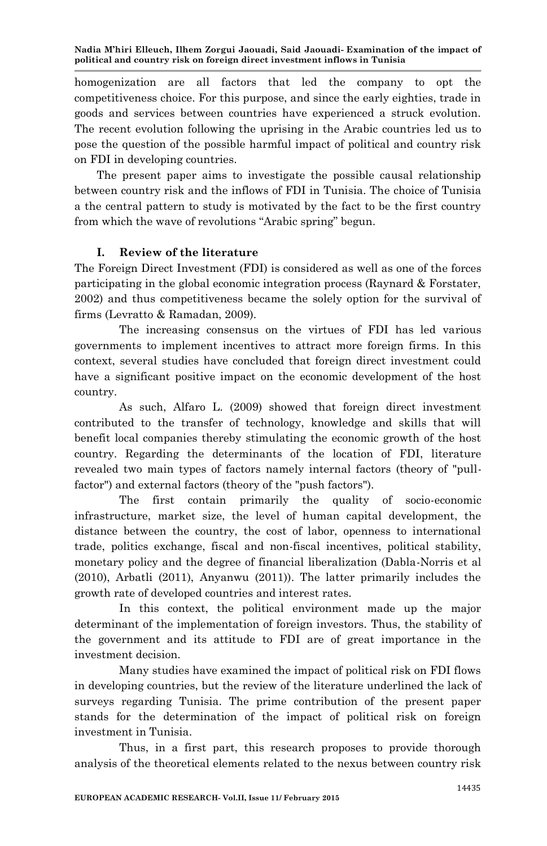homogenization are all factors that led the company to opt the competitiveness choice. For this purpose, and since the early eighties, trade in goods and services between countries have experienced a struck evolution. The recent evolution following the uprising in the Arabic countries led us to pose the question of the possible harmful impact of political and country risk on FDI in developing countries.

The present paper aims to investigate the possible causal relationship between country risk and the inflows of FDI in Tunisia. The choice of Tunisia a the central pattern to study is motivated by the fact to be the first country from which the wave of revolutions "Arabic spring" begun.

### **I. Review of the literature**

The Foreign Direct Investment (FDI) is considered as well as one of the forces participating in the global economic integration process (Raynard & Forstater, 2002) and thus competitiveness became the solely option for the survival of firms (Levratto & Ramadan, 2009).

The increasing consensus on the virtues of FDI has led various governments to implement incentives to attract more foreign firms. In this context, several studies have concluded that foreign direct investment could have a significant positive impact on the economic development of the host country.

As such, Alfaro L. (2009) showed that foreign direct investment contributed to the transfer of technology, knowledge and skills that will benefit local companies thereby stimulating the economic growth of the host country. Regarding the determinants of the location of FDI, literature revealed two main types of factors namely internal factors (theory of "pullfactor") and external factors (theory of the "push factors").

The first contain primarily the quality of socio-economic infrastructure, market size, the level of human capital development, the distance between the country, the cost of labor, openness to international trade, politics exchange, fiscal and non-fiscal incentives, political stability, monetary policy and the degree of financial liberalization (Dabla-Norris et al (2010), Arbatli (2011), Anyanwu (2011)). The latter primarily includes the growth rate of developed countries and interest rates.

In this context, the political environment made up the major determinant of the implementation of foreign investors. Thus, the stability of the government and its attitude to FDI are of great importance in the investment decision.

Many studies have examined the impact of political risk on FDI flows in developing countries, but the review of the literature underlined the lack of surveys regarding Tunisia. The prime contribution of the present paper stands for the determination of the impact of political risk on foreign investment in Tunisia.

Thus, in a first part, this research proposes to provide thorough analysis of the theoretical elements related to the nexus between country risk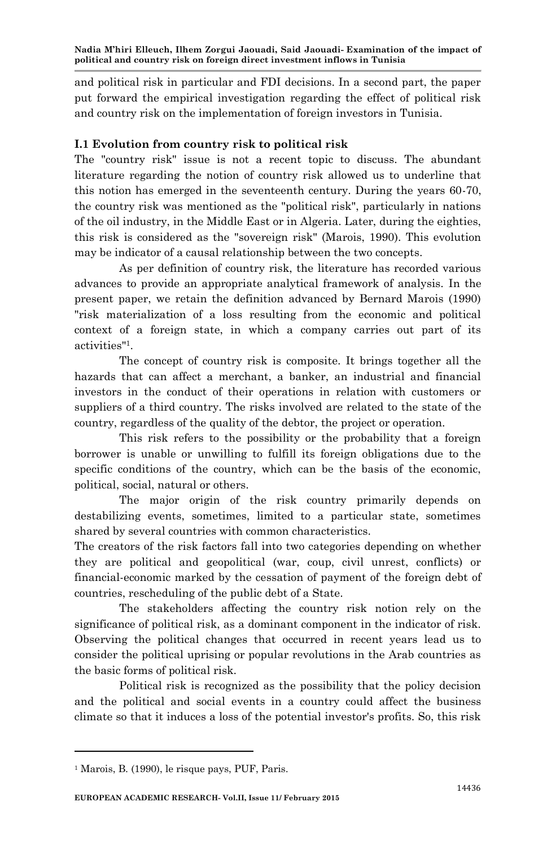and political risk in particular and FDI decisions. In a second part, the paper put forward the empirical investigation regarding the effect of political risk and country risk on the implementation of foreign investors in Tunisia.

## **I.1 Evolution from country risk to political risk**

The "country risk" issue is not a recent topic to discuss. The abundant literature regarding the notion of country risk allowed us to underline that this notion has emerged in the seventeenth century. During the years 60-70, the country risk was mentioned as the "political risk", particularly in nations of the oil industry, in the Middle East or in Algeria. Later, during the eighties, this risk is considered as the "sovereign risk" (Marois, 1990). This evolution may be indicator of a causal relationship between the two concepts.

As per definition of country risk, the literature has recorded various advances to provide an appropriate analytical framework of analysis. In the present paper, we retain the definition advanced by Bernard Marois (1990) "risk materialization of a loss resulting from the economic and political context of a foreign state, in which a company carries out part of its activities"<sup>1</sup> .

The concept of country risk is composite. It brings together all the hazards that can affect a merchant, a banker, an industrial and financial investors in the conduct of their operations in relation with customers or suppliers of a third country. The risks involved are related to the state of the country, regardless of the quality of the debtor, the project or operation.

This risk refers to the possibility or the probability that a foreign borrower is unable or unwilling to fulfill its foreign obligations due to the specific conditions of the country, which can be the basis of the economic, political, social, natural or others.

The major origin of the risk country primarily depends on destabilizing events, sometimes, limited to a particular state, sometimes shared by several countries with common characteristics.

The creators of the risk factors fall into two categories depending on whether they are political and geopolitical (war, coup, civil unrest, conflicts) or financial-economic marked by the cessation of payment of the foreign debt of countries, rescheduling of the public debt of a State.

The stakeholders affecting the country risk notion rely on the significance of political risk, as a dominant component in the indicator of risk. Observing the political changes that occurred in recent years lead us to consider the political uprising or popular revolutions in the Arab countries as the basic forms of political risk.

Political risk is recognized as the possibility that the policy decision and the political and social events in a country could affect the business climate so that it induces a loss of the potential investor's profits. So, this risk

l

<sup>1</sup> Marois, B. (1990), le risque pays, PUF, Paris.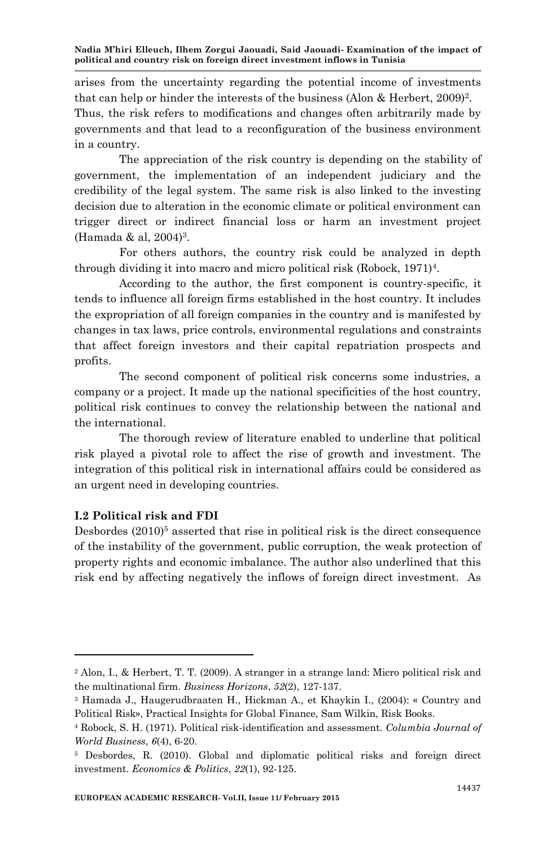arises from the uncertainty regarding the potential income of investments that can help or hinder the interests of the business (Alon & Herbert, 2009)<sup>2</sup>.

Thus, the risk refers to modifications and changes often arbitrarily made by governments and that lead to a reconfiguration of the business environment in a country.

The appreciation of the risk country is depending on the stability of government, the implementation of an independent judiciary and the credibility of the legal system. The same risk is also linked to the investing decision due to alteration in the economic climate or political environment can trigger direct or indirect financial loss or harm an investment project (Hamada & al, 2004)<sup>3</sup> .

For others authors, the country risk could be analyzed in depth through dividing it into macro and micro political risk (Robock, 1971)<sup>4</sup> .

According to the author, the first component is country-specific, it tends to influence all foreign firms established in the host country. It includes the expropriation of all foreign companies in the country and is manifested by changes in tax laws, price controls, environmental regulations and constraints that affect foreign investors and their capital repatriation prospects and profits.

The second component of political risk concerns some industries, a company or a project. It made up the national specificities of the host country, political risk continues to convey the relationship between the national and the international.

The thorough review of literature enabled to underline that political risk played a pivotal role to affect the rise of growth and investment. The integration of this political risk in international affairs could be considered as an urgent need in developing countries.

### **I.2 Political risk and FDI**

Desbordes  $(2010)^5$  asserted that rise in political risk is the direct consequence of the instability of the government, public corruption, the weak protection of property rights and economic imbalance. The author also underlined that this risk end by affecting negatively the inflows of foreign direct investment. As

<sup>2</sup> Alon, I., & Herbert, T. T. (2009). A stranger in a strange land: Micro political risk and the multinational firm. *Business Horizons*, *52*(2), 127-137.

<sup>3</sup> Hamada J., Haugerudbraaten H., Hickman A., et Khaykin I., (2004): « Country and Political Risk», Practical Insights for Global Finance, Sam Wilkin, Risk Books.

<sup>4</sup> Robock, S. H. (1971). Political risk-identification and assessment. *Columbia Journal of World Business*, *6*(4), 6-20.

<sup>5</sup> Desbordes, R. (2010). Global and diplomatic political risks and foreign direct investment. *Economics & Politics*, *22*(1), 92-125.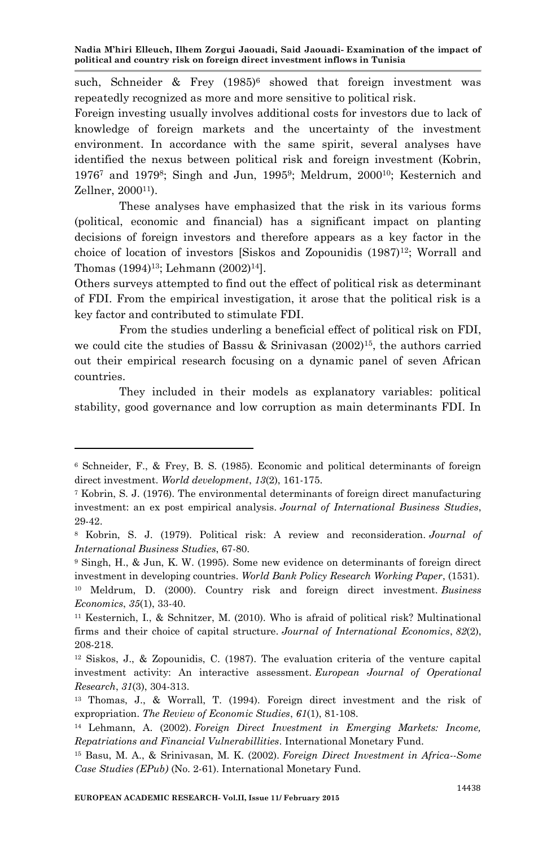such, Schneider & Frey  $(1985)^6$  showed that foreign investment was repeatedly recognized as more and more sensitive to political risk.

Foreign investing usually involves additional costs for investors due to lack of knowledge of foreign markets and the uncertainty of the investment environment. In accordance with the same spirit, several analyses have identified the nexus between political risk and foreign investment (Kobrin, 1976<sup>7</sup> and 1979<sup>8</sup>; Singh and Jun, 1995<sup>9</sup>; Meldrum, 2000<sup>10</sup>; Kesternich and Zellner, 2000<sup>11</sup>).

These analyses have emphasized that the risk in its various forms (political, economic and financial) has a significant impact on planting decisions of foreign investors and therefore appears as a key factor in the choice of location of investors [Siskos and Zopounidis  $(1987)^{12}$ ; Worrall and Thomas (1994)<sup>13</sup>; Lehmann (2002)<sup>14</sup>].

Others surveys attempted to find out the effect of political risk as determinant of FDI. From the empirical investigation, it arose that the political risk is a key factor and contributed to stimulate FDI.

From the studies underling a beneficial effect of political risk on FDI, we could cite the studies of Bassu & Srinivasan  $(2002)^{15}$ , the authors carried out their empirical research focusing on a dynamic panel of seven African countries.

They included in their models as explanatory variables: political stability, good governance and low corruption as main determinants FDI. In

<sup>6</sup> Schneider, F., & Frey, B. S. (1985). Economic and political determinants of foreign direct investment. *World development*, *13*(2), 161-175.

<sup>7</sup> Kobrin, S. J. (1976). The environmental determinants of foreign direct manufacturing investment: an ex post empirical analysis. *Journal of International Business Studies*, 29-42.

<sup>8</sup> Kobrin, S. J. (1979). Political risk: A review and reconsideration. *Journal of International Business Studies*, 67-80.

<sup>9</sup> Singh, H., & Jun, K. W. (1995). Some new evidence on determinants of foreign direct investment in developing countries. *World Bank Policy Research Working Paper*, (1531).

<sup>10</sup> Meldrum, D. (2000). Country risk and foreign direct investment. *Business Economics*, *35*(1), 33-40.

<sup>11</sup> Kesternich, I., & Schnitzer, M. (2010). Who is afraid of political risk? Multinational firms and their choice of capital structure. *Journal of International Economics*, *82*(2), 208-218.

 $12$  Siskos, J., & Zopounidis, C. (1987). The evaluation criteria of the venture capital investment activity: An interactive assessment. *European Journal of Operational Research*, *31*(3), 304-313.

<sup>13</sup> Thomas, J., & Worrall, T. (1994). Foreign direct investment and the risk of expropriation. *The Review of Economic Studies*, *61*(1), 81-108.

<sup>14</sup> Lehmann, A. (2002). *Foreign Direct Investment in Emerging Markets: Income, Repatriations and Financial Vulnerabillities*. International Monetary Fund.

<sup>15</sup> Basu, M. A., & Srinivasan, M. K. (2002). *Foreign Direct Investment in Africa--Some Case Studies (EPub)* (No. 2-61). International Monetary Fund.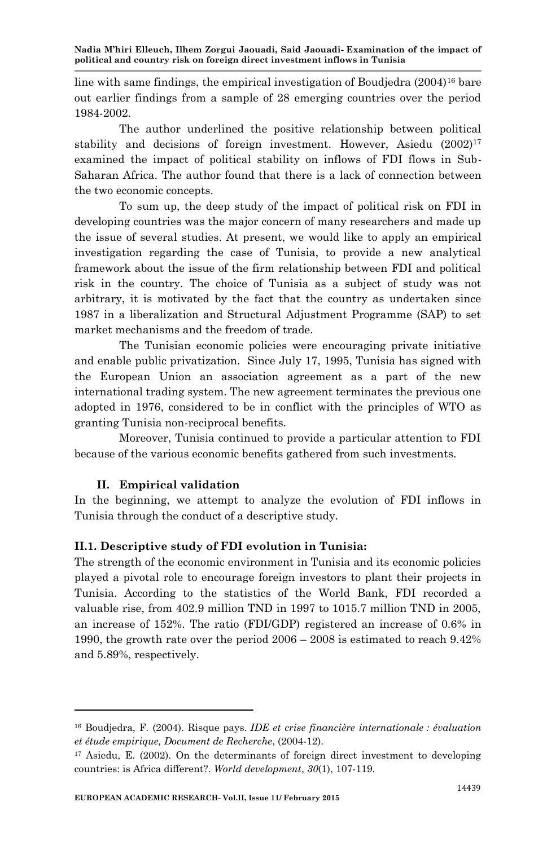line with same findings, the empirical investigation of Boudjedra  $(2004)^{16}$  bare out earlier findings from a sample of 28 emerging countries over the period 1984-2002.

The author underlined the positive relationship between political stability and decisions of foreign investment. However, Asiedu (2002)<sup>17</sup> examined the impact of political stability on inflows of FDI flows in Sub-Saharan Africa. The author found that there is a lack of connection between the two economic concepts.

To sum up, the deep study of the impact of political risk on FDI in developing countries was the major concern of many researchers and made up the issue of several studies. At present, we would like to apply an empirical investigation regarding the case of Tunisia, to provide a new analytical framework about the issue of the firm relationship between FDI and political risk in the country. The choice of Tunisia as a subject of study was not arbitrary, it is motivated by the fact that the country as undertaken since 1987 in a liberalization and Structural Adjustment Programme (SAP) to set market mechanisms and the freedom of trade.

The Tunisian economic policies were encouraging private initiative and enable public privatization. Since July 17, 1995, Tunisia has signed with the European Union an association agreement as a part of the new international trading system. The new agreement terminates the previous one adopted in 1976, considered to be in conflict with the principles of WTO as granting Tunisia non-reciprocal benefits.

Moreover, Tunisia continued to provide a particular attention to FDI because of the various economic benefits gathered from such investments.

# **II. Empirical validation**

In the beginning, we attempt to analyze the evolution of FDI inflows in Tunisia through the conduct of a descriptive study.

# **II.1. Descriptive study of FDI evolution in Tunisia:**

The strength of the economic environment in Tunisia and its economic policies played a pivotal role to encourage foreign investors to plant their projects in Tunisia. According to the statistics of the World Bank, FDI recorded a valuable rise, from 402.9 million TND in 1997 to 1015.7 million TND in 2005, an increase of 152%. The ratio (FDI/GDP) registered an increase of 0.6% in 1990, the growth rate over the period 2006 – 2008 is estimated to reach 9.42% and 5.89%, respectively.

<sup>16</sup> Boudjedra, F. (2004). Risque pays. *IDE et crise financière internationale : évaluation et étude empirique, Document de Recherche*, (2004-12).

<sup>17</sup> Asiedu, E. (2002). On the determinants of foreign direct investment to developing countries: is Africa different?. *World development*, *30*(1), 107-119.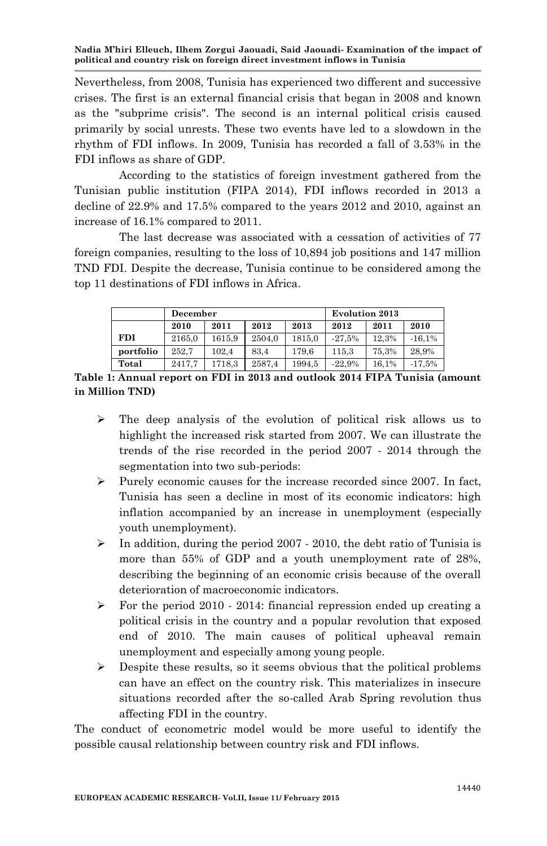Nevertheless, from 2008, Tunisia has experienced two different and successive crises. The first is an external financial crisis that began in 2008 and known as the "subprime crisis". The second is an internal political crisis caused primarily by social unrests. These two events have led to a slowdown in the rhythm of FDI inflows. In 2009, Tunisia has recorded a fall of 3.53% in the FDI inflows as share of GDP.

According to the statistics of foreign investment gathered from the Tunisian public institution (FIPA 2014), FDI inflows recorded in 2013 a decline of 22.9% and 17.5% compared to the years 2012 and 2010, against an increase of 16.1% compared to 2011.

The last decrease was associated with a cessation of activities of 77 foreign companies, resulting to the loss of 10,894 job positions and 147 million TND FDI. Despite the decrease, Tunisia continue to be considered among the top 11 destinations of FDI inflows in Africa.

|            | December |        |        | <b>Evolution 2013</b> |          |       |          |  |
|------------|----------|--------|--------|-----------------------|----------|-------|----------|--|
|            | 2010     | 2011   | 2012   | 2013                  | 2012     | 2011  | 2010     |  |
| <b>FDI</b> | 2165,0   | 1615.9 | 2504.0 | 1815.0                | $-27.5%$ | 12.3% | $-16.1%$ |  |
| portfolio  | 252.7    | 102.4  | 83.4   | 179.6                 | 115.3    | 75,3% | 28.9%    |  |
| Total      | 2417.7   | 1718.3 | 2587.4 | 1994.5                | $-22.9%$ | 16.1% | $-17.5%$ |  |

**Table 1: Annual report on FDI in 2013 and outlook 2014 FIPA Tunisia (amount in Million TND)**

- $\triangleright$  The deep analysis of the evolution of political risk allows us to highlight the increased risk started from 2007. We can illustrate the trends of the rise recorded in the period 2007 - 2014 through the segmentation into two sub-periods:
- $\triangleright$  Purely economic causes for the increase recorded since 2007. In fact, Tunisia has seen a decline in most of its economic indicators: high inflation accompanied by an increase in unemployment (especially youth unemployment).
- $\triangleright$  In addition, during the period 2007 2010, the debt ratio of Tunisia is more than 55% of GDP and a youth unemployment rate of 28%, describing the beginning of an economic crisis because of the overall deterioration of macroeconomic indicators.
- $\triangleright$  For the period 2010 2014: financial repression ended up creating a political crisis in the country and a popular revolution that exposed end of 2010. The main causes of political upheaval remain unemployment and especially among young people.
- $\triangleright$  Despite these results, so it seems obvious that the political problems can have an effect on the country risk. This materializes in insecure situations recorded after the so-called Arab Spring revolution thus affecting FDI in the country.

The conduct of econometric model would be more useful to identify the possible causal relationship between country risk and FDI inflows.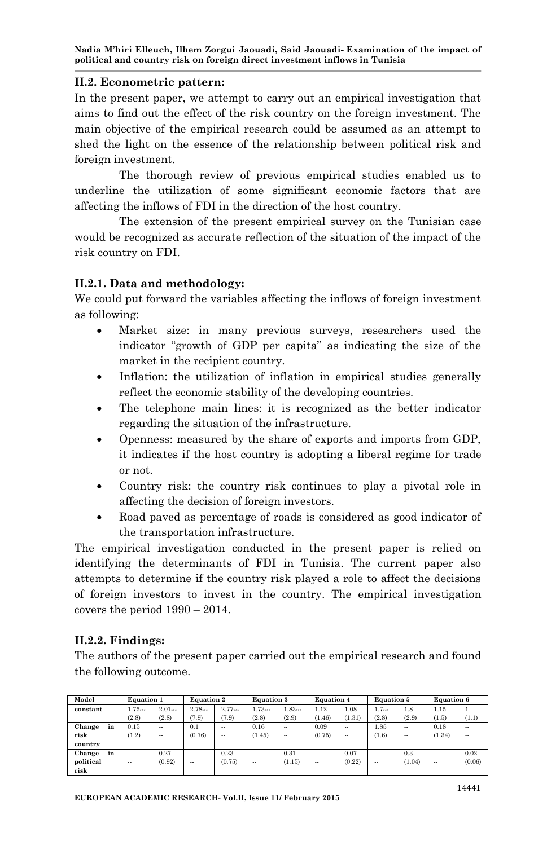### **II.2. Econometric pattern:**

In the present paper, we attempt to carry out an empirical investigation that aims to find out the effect of the risk country on the foreign investment. The main objective of the empirical research could be assumed as an attempt to shed the light on the essence of the relationship between political risk and foreign investment.

The thorough review of previous empirical studies enabled us to underline the utilization of some significant economic factors that are affecting the inflows of FDI in the direction of the host country.

The extension of the present empirical survey on the Tunisian case would be recognized as accurate reflection of the situation of the impact of the risk country on FDI.

### **II.2.1. Data and methodology:**

We could put forward the variables affecting the inflows of foreign investment as following:

- Market size: in many previous surveys, researchers used the indicator "growth of GDP per capita" as indicating the size of the market in the recipient country.
- Inflation: the utilization of inflation in empirical studies generally reflect the economic stability of the developing countries.
- The telephone main lines: it is recognized as the better indicator regarding the situation of the infrastructure.
- Openness: measured by the share of exports and imports from GDP, it indicates if the host country is adopting a liberal regime for trade or not.
- Country risk: the country risk continues to play a pivotal role in affecting the decision of foreign investors.
- Road paved as percentage of roads is considered as good indicator of the transportation infrastructure.

The empirical investigation conducted in the present paper is relied on identifying the determinants of FDI in Tunisia. The current paper also attempts to determine if the country risk played a role to affect the decisions of foreign investors to invest in the country. The empirical investigation covers the period 1990 – 2014.

# **II.2.2. Findings:**

The authors of the present paper carried out the empirical research and found the following outcome.

| Model        | <b>Equation 1</b>    |           | <b>Equation 2</b> |        | <b>Equation 3</b> |        | <b>Equation 4</b> |        | <b>Equation 5</b> |        | <b>Equation 6</b> |        |
|--------------|----------------------|-----------|-------------------|--------|-------------------|--------|-------------------|--------|-------------------|--------|-------------------|--------|
| constant     | 1.75                 | 2.01      | 2.78              | 2.77   | 1.73              | 1.83   | 1.12              | 1.08   | 1.7               | 1.8    | 1.15              |        |
|              | (2.8)                | (2.8)     | (7.9)             | (7.9)  | (2.8)             | (2.9)  | (1.46)            | (1.31) | (2.8)             | (2.9)  | (1.5)             | (1.1)  |
| Change<br>in | 0.15                 | $\sim$    | 0.1               | $\sim$ | 0.16              | $\sim$ | 0.09              | $\sim$ | 1.85              | $\sim$ | 0.18              | $\sim$ |
| risk         | (1.2)                | $\cdots$  | (0.76)            | $\sim$ | (1.45)            | $\sim$ | (0.75)            | $\sim$ | (1.6)             | $\sim$ | (1.34)            | $\sim$ |
| country      |                      |           |                   |        |                   |        |                   |        |                   |        |                   |        |
| Change<br>in | $\ddot{\phantom{a}}$ | $_{0.27}$ | $\sim$            | 0.23   | $\sim$            | 0.31   | $\sim$            | 0.07   |                   | 0.3    | $\sim$ $-$        | 0.02   |
| political    | $\cdots$             | (0.92)    | $\sim$            | (0.75) | $\sim$            | (1.15) | $\sim$            | (0.22) | $\cdots$          | (1.04) | $\sim$ $-$        | (0.06) |
| risk         |                      |           |                   |        |                   |        |                   |        |                   |        |                   |        |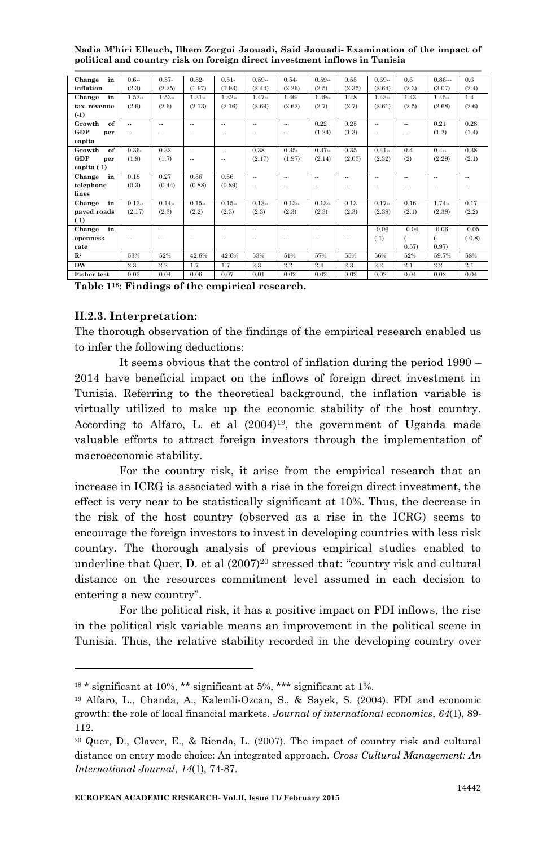| in<br>Change       | $0.6 -$              | $0.57-$ | $0.52-$  | $0.51-$ | $0.59 -$             | $0.54-$              | $0.59 -$ | 0.55   | $0.69 -$             | 0.6     | 0.86           | 0.6      |
|--------------------|----------------------|---------|----------|---------|----------------------|----------------------|----------|--------|----------------------|---------|----------------|----------|
| inflation          | (2.3)                | (2.25)  | (1.97)   | (1.93)  | (2.44)               | (2.26)               | (2.5)    | (2.35) | (2.64)               | (2.3)   | (3.07)         | (2.4)    |
| in<br>Change       | $1.52-$              | $1.53-$ | $1.31 -$ | 1.32    | 1.47                 | $1.46-$              | $1.49 -$ | 1.48   | 1.43                 | 1.43    | 1.45           | 1.4      |
| tax revenue        | (2.6)                | (2.6)   | (2.13)   | (2.16)  | (2.69)               | (2.62)               | (2.7)    | (2.7)  | (2.61)               | (2.5)   | (2.68)         | (2.6)    |
| $(-1)$             |                      |         |          |         |                      |                      |          |        |                      |         |                |          |
| of<br>Growth       | $\sim$               | $\sim$  | $\sim$   | $\sim$  | $\sim$               | $\sim$               | 0.22     | 0.25   | $\ddot{\phantom{a}}$ | $\sim$  | 0.21           | 0.28     |
| GDP<br>per         | $\sim$               |         | $\sim$   | $\sim$  | $\sim$               | $\ddot{\phantom{a}}$ | (1.24)   | (1.3)  | $\sim$               | $\sim$  | (1.2)          | (1.4)    |
| capita             |                      |         |          |         |                      |                      |          |        |                      |         |                |          |
| of<br>Growth       | $0.36-$              | 0.32    | $\sim$   | $\sim$  | 0.38                 | $0.35-$              | $0.37 -$ | 0.35   | $0.41 -$             | 0.4     | 0.4            | 0.38     |
| GDP<br>per         | (1.9)                | (1.7)   | $\sim$   | $\sim$  | (2.17)               | (1.97)               | (2.14)   | (2.03) | (2.32)               | (2)     | (2.29)         | (2.1)    |
| capita (-1)        |                      |         |          |         |                      |                      |          |        |                      |         |                |          |
| Change<br>in       | 0.18                 | 0.27    | 0.56     | 0.56    | $\ddot{\phantom{a}}$ | $\sim$               | $\sim$   | $\sim$ | $\ddot{\phantom{a}}$ | $\sim$  | $\sim$ $\sim$  | $\sim$   |
| telephone          | (0.3)                | (0.44)  | (0.88)   | (0.89)  | $\sim$               | $\ddot{\phantom{a}}$ | $\sim$   | $\sim$ | $\ddot{\phantom{a}}$ | $\sim$  | $\sim$         | $\sim$   |
| lines              |                      |         |          |         |                      |                      |          |        |                      |         |                |          |
| in<br>Change       | $0.13 -$             | 0.14    | $0.15 -$ | 0.15    | $0.13 -$             | 0.13                 | $0.13-$  | 0.13   | $0.17 -$             | 0.16    | 1.74           | 0.17     |
| paved roads        | (2.17)               | (2.3)   | (2.2)    | (2.3)   | (2.3)                | (2.3)                | (2.3)    | (2.3)  | (2.39)               | (2.1)   | (2.38)         | (2.2)    |
| $(-1)$             |                      |         |          |         |                      |                      |          |        |                      |         |                |          |
| Change<br>in       | $\sim$               | $\sim$  | $\sim$   | $\sim$  | $\ddot{\phantom{a}}$ | $\sim$               | $\sim$   | $\sim$ | $-0.06$              | $-0.04$ | $-0.06$        | $-0.05$  |
| openness           | $\ddot{\phantom{a}}$ |         |          | $\sim$  | $\sim$               | $\sim$               |          | ٠.     | $(-1)$               | 6       | <sub>(</sub> - | $(-0.8)$ |
| rate               |                      |         |          |         |                      |                      |          |        |                      | (0.57)  | 0.97)          |          |
| $\mathbb{R}^2$     | 53%                  | 52%     | 42.6%    | 42.6%   | 53%                  | 51%                  | 57%      | 55%    | 56%                  | 52%     | 59.7%          | 58%      |
| <b>DW</b>          | 2.3                  | 2.2     | 1.7      | 1.7     | 2.3                  | 2.2                  | 2.4      | 2.3    | 2.2                  | 2.1     | 2.2            | 2.1      |
| <b>Fisher test</b> | 0.03                 | 0.04    | 0.06     | 0.07    | 0.01                 | 0.02                 | 0.02     | 0.02   | 0.02                 | 0.04    | 0.02           | 0.04     |

**Table 118: Findings of the empirical research.**

### **II.2.3. Interpretation:**

The thorough observation of the findings of the empirical research enabled us to infer the following deductions:

It seems obvious that the control of inflation during the period 1990 – 2014 have beneficial impact on the inflows of foreign direct investment in Tunisia. Referring to the theoretical background, the inflation variable is virtually utilized to make up the economic stability of the host country. According to Alfaro, L. et al  $(2004)^{19}$ , the government of Uganda made valuable efforts to attract foreign investors through the implementation of macroeconomic stability.

For the country risk, it arise from the empirical research that an increase in ICRG is associated with a rise in the foreign direct investment, the effect is very near to be statistically significant at 10%. Thus, the decrease in the risk of the host country (observed as a rise in the ICRG) seems to encourage the foreign investors to invest in developing countries with less risk country. The thorough analysis of previous empirical studies enabled to underline that Quer, D. et al  $(2007)^{20}$  stressed that: "country risk and cultural distance on the resources commitment level assumed in each decision to entering a new country".

For the political risk, it has a positive impact on FDI inflows, the rise in the political risk variable means an improvement in the political scene in Tunisia. Thus, the relative stability recorded in the developing country over

 $18 *$  significant at 10%, \*\* significant at 5%, \*\*\* significant at 1%.

<sup>19</sup> Alfaro, L., Chanda, A., Kalemli-Ozcan, S., & Sayek, S. (2004). FDI and economic growth: the role of local financial markets. *Journal of international economics*, *64*(1), 89- 112.

<sup>20</sup> Quer, D., Claver, E., & Rienda, L. (2007). The impact of country risk and cultural distance on entry mode choice: An integrated approach. *Cross Cultural Management: An International Journal*, *14*(1), 74-87.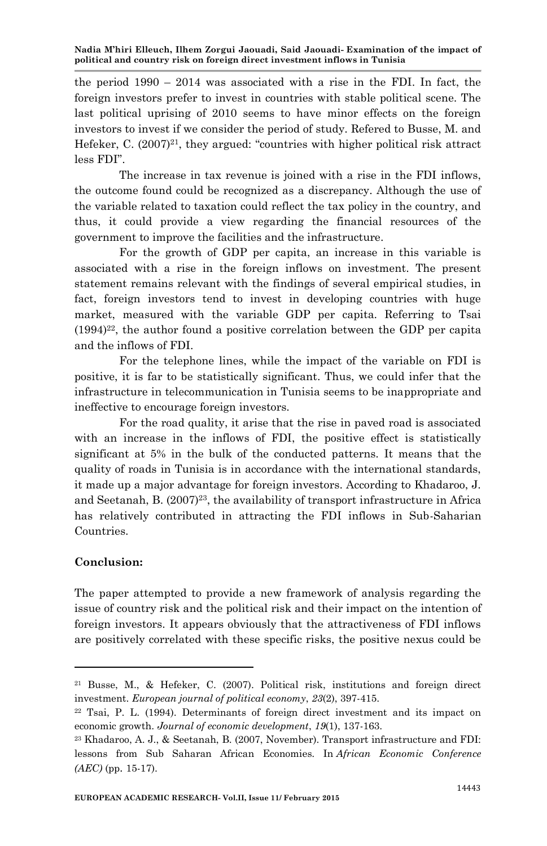the period  $1990 - 2014$  was associated with a rise in the FDI. In fact, the foreign investors prefer to invest in countries with stable political scene. The last political uprising of 2010 seems to have minor effects on the foreign investors to invest if we consider the period of study. Refered to Busse, M. and Hefeker, C.  $(2007)^{21}$ , they argued: "countries with higher political risk attract less FDI".

The increase in tax revenue is joined with a rise in the FDI inflows, the outcome found could be recognized as a discrepancy. Although the use of the variable related to taxation could reflect the tax policy in the country, and thus, it could provide a view regarding the financial resources of the government to improve the facilities and the infrastructure.

For the growth of GDP per capita, an increase in this variable is associated with a rise in the foreign inflows on investment. The present statement remains relevant with the findings of several empirical studies, in fact, foreign investors tend to invest in developing countries with huge market, measured with the variable GDP per capita. Referring to Tsai  $(1994)^{22}$ , the author found a positive correlation between the GDP per capita and the inflows of FDI.

For the telephone lines, while the impact of the variable on FDI is positive, it is far to be statistically significant. Thus, we could infer that the infrastructure in telecommunication in Tunisia seems to be inappropriate and ineffective to encourage foreign investors.

For the road quality, it arise that the rise in paved road is associated with an increase in the inflows of FDI, the positive effect is statistically significant at 5% in the bulk of the conducted patterns. It means that the quality of roads in Tunisia is in accordance with the international standards, it made up a major advantage for foreign investors. According to Khadaroo, J. and Seetanah, B.  $(2007)^{23}$ , the availability of transport infrastructure in Africa has relatively contributed in attracting the FDI inflows in Sub-Saharian Countries.

# **Conclusion:**

The paper attempted to provide a new framework of analysis regarding the issue of country risk and the political risk and their impact on the intention of foreign investors. It appears obviously that the attractiveness of FDI inflows are positively correlated with these specific risks, the positive nexus could be

<sup>21</sup> Busse, M., & Hefeker, C. (2007). Political risk, institutions and foreign direct investment. *European journal of political economy*, *23*(2), 397-415.

<sup>22</sup> Tsai, P. L. (1994). Determinants of foreign direct investment and its impact on economic growth. *Journal of economic development*, *19*(1), 137-163.

<sup>23</sup> Khadaroo, A. J., & Seetanah, B. (2007, November). Transport infrastructure and FDI: lessons from Sub Saharan African Economies. In *African Economic Conference (AEC)* (pp. 15-17).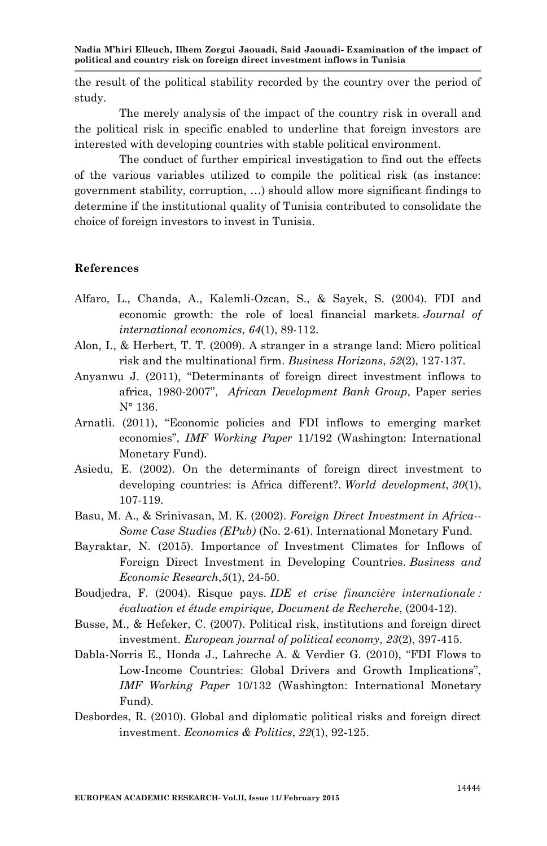the result of the political stability recorded by the country over the period of study.

The merely analysis of the impact of the country risk in overall and the political risk in specific enabled to underline that foreign investors are interested with developing countries with stable political environment.

The conduct of further empirical investigation to find out the effects of the various variables utilized to compile the political risk (as instance: government stability, corruption, …) should allow more significant findings to determine if the institutional quality of Tunisia contributed to consolidate the choice of foreign investors to invest in Tunisia.

### **References**

- Alfaro, L., Chanda, A., Kalemli-Ozcan, S., & Sayek, S. (2004). FDI and economic growth: the role of local financial markets. *Journal of international economics*, *64*(1), 89-112.
- Alon, I., & Herbert, T. T. (2009). A stranger in a strange land: Micro political risk and the multinational firm. *Business Horizons*, *52*(2), 127-137.
- Anyanwu J. (2011), "Determinants of foreign direct investment inflows to africa, 1980-2007", *African Development Bank Group*, Paper series N° 136.
- Arnatli. (2011), "Economic policies and FDI inflows to emerging market economies", *IMF Working Paper* 11/192 (Washington: International Monetary Fund).
- Asiedu, E. (2002). On the determinants of foreign direct investment to developing countries: is Africa different?. *World development*, *30*(1), 107-119.
- Basu, M. A., & Srinivasan, M. K. (2002). *Foreign Direct Investment in Africa-- Some Case Studies (EPub)* (No. 2-61). International Monetary Fund.
- Bayraktar, N. (2015). Importance of Investment Climates for Inflows of Foreign Direct Investment in Developing Countries. *Business and Economic Research*,*5*(1), 24-50.
- Boudjedra, F. (2004). Risque pays. *IDE et crise financière internationale : évaluation et étude empirique, Document de Recherche*, (2004-12).
- Busse, M., & Hefeker, C. (2007). Political risk, institutions and foreign direct investment. *European journal of political economy*, *23*(2), 397-415.
- Dabla-Norris E., Honda J., Lahreche A. & Verdier G. (2010), "FDI Flows to Low-Income Countries: Global Drivers and Growth Implications", *IMF Working Paper* 10/132 (Washington: International Monetary Fund).
- Desbordes, R. (2010). Global and diplomatic political risks and foreign direct investment. *Economics & Politics*, *22*(1), 92-125.